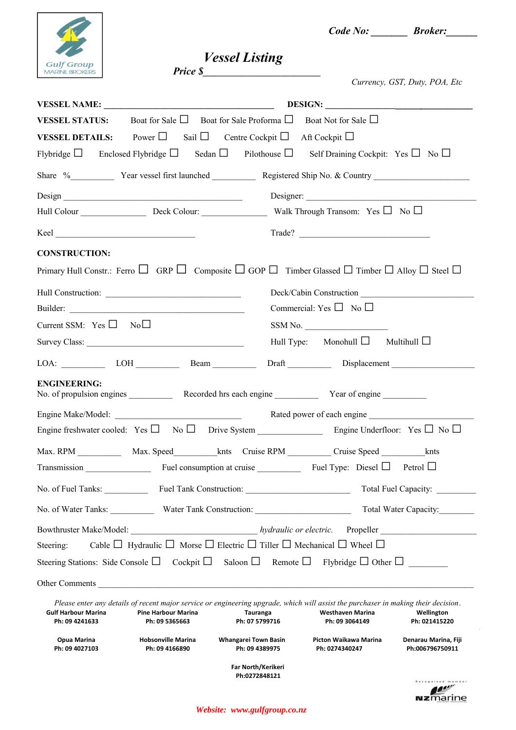

 *Code No: \_\_\_\_\_\_\_ Broker:\_\_\_\_\_\_*

 *Vessel Listing Price \$\_\_\_\_\_\_\_\_\_\_\_\_\_\_\_\_\_\_\_\_\_\_\_\_\_\_\_*

|  | I |
|--|---|

|                                              |                                              |                                                                                                         |                                                                                                                                                                                 | Currency, GST, Duty, POA, Etc           |
|----------------------------------------------|----------------------------------------------|---------------------------------------------------------------------------------------------------------|---------------------------------------------------------------------------------------------------------------------------------------------------------------------------------|-----------------------------------------|
|                                              |                                              |                                                                                                         |                                                                                                                                                                                 |                                         |
| <b>VESSEL STATUS:</b>                        |                                              | Boat for Sale $\Box$ Boat for Sale Proforma $\Box$ Boat Not for Sale $\Box$                             |                                                                                                                                                                                 |                                         |
|                                              |                                              | <b>VESSEL DETAILS:</b> Power $\Box$ Sail $\Box$ Centre Cockpit $\Box$ Aft Cockpit $\Box$                |                                                                                                                                                                                 |                                         |
|                                              |                                              |                                                                                                         | Flybridge $\Box$ Enclosed Flybridge $\Box$ Sedan $\Box$ Pilothouse $\Box$ Self Draining Cockpit: Yes $\Box$ No $\Box$                                                           |                                         |
|                                              |                                              |                                                                                                         |                                                                                                                                                                                 |                                         |
|                                              |                                              |                                                                                                         | Designer:                                                                                                                                                                       |                                         |
|                                              |                                              |                                                                                                         |                                                                                                                                                                                 |                                         |
|                                              |                                              |                                                                                                         |                                                                                                                                                                                 |                                         |
| <b>CONSTRUCTION:</b>                         |                                              |                                                                                                         |                                                                                                                                                                                 |                                         |
|                                              |                                              |                                                                                                         | Primary Hull Constr.: Ferro $\Box$ GRP $\Box$ Composite $\Box$ GOP $\Box$ Timber Glassed $\Box$ Timber $\Box$ Alloy $\Box$ Steel $\Box$                                         |                                         |
|                                              |                                              |                                                                                                         | Deck/Cabin Construction                                                                                                                                                         |                                         |
|                                              |                                              |                                                                                                         | Commercial: Yes $\Box$ No $\Box$                                                                                                                                                |                                         |
| Current SSM: $Yes \Box No \Box$              |                                              |                                                                                                         | SSM No.                                                                                                                                                                         |                                         |
|                                              |                                              |                                                                                                         | Hull Type: Monohull $\Box$ Multihull $\Box$                                                                                                                                     |                                         |
|                                              | $LOA:$ $LOH$ $LOH$ $Beam$                    |                                                                                                         |                                                                                                                                                                                 |                                         |
| <b>ENGINEERING:</b>                          |                                              |                                                                                                         |                                                                                                                                                                                 |                                         |
|                                              |                                              |                                                                                                         |                                                                                                                                                                                 |                                         |
|                                              |                                              |                                                                                                         |                                                                                                                                                                                 |                                         |
| Transmission                                 |                                              |                                                                                                         | Fuel consumption at cruise _________________ Fuel Type: Diesel $\Box$ Petrol $\Box$                                                                                             |                                         |
|                                              |                                              |                                                                                                         |                                                                                                                                                                                 | Total Fuel Capacity:                    |
|                                              |                                              | No. of Water Tanks: Water Tank Construction: Value 1, 2014                                              |                                                                                                                                                                                 | Total Water Capacity:                   |
|                                              |                                              |                                                                                                         |                                                                                                                                                                                 |                                         |
| Steering:                                    |                                              | Cable $\Box$ Hydraulic $\Box$ Morse $\Box$ Electric $\Box$ Tiller $\Box$ Mechanical $\Box$ Wheel $\Box$ |                                                                                                                                                                                 |                                         |
|                                              |                                              |                                                                                                         | Steering Stations: Side Console $\Box$ Cockpit $\Box$ Saloon $\Box$ Remote $\Box$ Flybridge $\Box$ Other $\Box$                                                                 |                                         |
|                                              |                                              | Other Comments                                                                                          |                                                                                                                                                                                 |                                         |
| <b>Gulf Harbour Marina</b><br>Ph: 09 4241633 | <b>Pine Harbour Marina</b><br>Ph: 09 5365663 | Tauranga<br>Ph: 07 5799716                                                                              | Please enter any details of recent major service or engineering upgrade, which will assist the purchaser in making their decision.<br><b>Westhaven Marina</b><br>Ph: 09 3064149 | Wellington<br>Ph: 021415220             |
| Opua Marina<br>Ph: 09 4027103                | <b>Hobsonville Marina</b><br>Ph: 09 4166890  | <b>Whangarei Town Basin</b><br>Ph: 09 4389975                                                           | Picton Waikawa Marina<br>Ph: 0274340247                                                                                                                                         | Denarau Marina, Fiji<br>Ph:006796750911 |
|                                              |                                              | Far North/Kerikeri<br>Ph:0272848121                                                                     |                                                                                                                                                                                 | ecognised member<br><b>NZ</b> marine    |

*Website: www.gulfgroup.co.nz*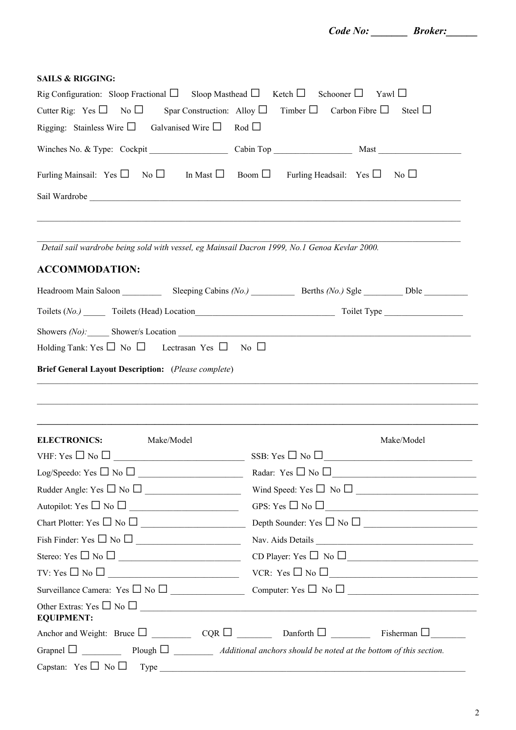| Code No: | <b>Broker:</b> |  |
|----------|----------------|--|
|          |                |  |

| <b>SAILS &amp; RIGGING:</b>                                                                                                                                                                                                                                                                                                                                                                                                                                                                                                                                                                                  |                                 |                                                                                                                                                           |
|--------------------------------------------------------------------------------------------------------------------------------------------------------------------------------------------------------------------------------------------------------------------------------------------------------------------------------------------------------------------------------------------------------------------------------------------------------------------------------------------------------------------------------------------------------------------------------------------------------------|---------------------------------|-----------------------------------------------------------------------------------------------------------------------------------------------------------|
| Rig Configuration: Sloop Fractional $\Box$ Sloop Masthead $\Box$ Ketch $\Box$ Schooner $\Box$ Yawl $\Box$                                                                                                                                                                                                                                                                                                                                                                                                                                                                                                    |                                 |                                                                                                                                                           |
| Cutter Rig: Yes $\Box$ No $\Box$ Spar Construction: Alloy $\Box$ Timber $\Box$ Carbon Fibre $\Box$ Steel $\Box$                                                                                                                                                                                                                                                                                                                                                                                                                                                                                              |                                 |                                                                                                                                                           |
| Rigging: Stainless Wire $\Box$ Galvanised Wire $\Box$ Rod $\Box$                                                                                                                                                                                                                                                                                                                                                                                                                                                                                                                                             |                                 |                                                                                                                                                           |
|                                                                                                                                                                                                                                                                                                                                                                                                                                                                                                                                                                                                              |                                 |                                                                                                                                                           |
| Furling Mainsail: Yes $\Box$ No $\Box$ In Mast $\Box$ Boom $\Box$ Furling Headsail: Yes $\Box$ No $\Box$                                                                                                                                                                                                                                                                                                                                                                                                                                                                                                     |                                 |                                                                                                                                                           |
|                                                                                                                                                                                                                                                                                                                                                                                                                                                                                                                                                                                                              |                                 |                                                                                                                                                           |
| Detail sail wardrobe being sold with vessel, eg Mainsail Dacron 1999, No.1 Genoa Kevlar 2000.                                                                                                                                                                                                                                                                                                                                                                                                                                                                                                                |                                 |                                                                                                                                                           |
| <b>ACCOMMODATION:</b>                                                                                                                                                                                                                                                                                                                                                                                                                                                                                                                                                                                        |                                 |                                                                                                                                                           |
|                                                                                                                                                                                                                                                                                                                                                                                                                                                                                                                                                                                                              |                                 |                                                                                                                                                           |
|                                                                                                                                                                                                                                                                                                                                                                                                                                                                                                                                                                                                              |                                 |                                                                                                                                                           |
|                                                                                                                                                                                                                                                                                                                                                                                                                                                                                                                                                                                                              |                                 |                                                                                                                                                           |
| Holding Tank: Yes $\Box$ No $\Box$ Lectrasan Yes $\Box$ No $\Box$                                                                                                                                                                                                                                                                                                                                                                                                                                                                                                                                            |                                 |                                                                                                                                                           |
| <b>Brief General Layout Description:</b> (Please complete)                                                                                                                                                                                                                                                                                                                                                                                                                                                                                                                                                   |                                 |                                                                                                                                                           |
|                                                                                                                                                                                                                                                                                                                                                                                                                                                                                                                                                                                                              |                                 |                                                                                                                                                           |
|                                                                                                                                                                                                                                                                                                                                                                                                                                                                                                                                                                                                              |                                 |                                                                                                                                                           |
|                                                                                                                                                                                                                                                                                                                                                                                                                                                                                                                                                                                                              |                                 |                                                                                                                                                           |
| <b>ELECTRONICS:</b><br>Make/Model                                                                                                                                                                                                                                                                                                                                                                                                                                                                                                                                                                            |                                 | Make/Model                                                                                                                                                |
| $\label{thm:VHF} \text{VHF: Yes} \ \Box \ \text{No} \ \Box \ \underline{\hspace{2cm}} \underline{\hspace{2cm}} \underline{\hspace{2cm}} \underline{\hspace{2cm}} \underline{\hspace{2cm}} \underline{\hspace{2cm}} \underline{\hspace{2cm}} \underline{\hspace{2cm}} \underline{\hspace{2cm}} \underline{\hspace{2cm}} \underline{\hspace{2cm}} \underline{\hspace{2cm}} \underline{\hspace{2cm}} \underline{\hspace{2cm}} \underline{\hspace{2cm}} \underline{\hspace{2cm}} \underline{\hspace{2cm}} \underline{\hspace{2cm}} \underline{\hspace{2cm}} \underline{\hspace{2cm}} \underline{\hspace{2cm}} \$ | SSB: Yes $\square$ No $\square$ | <u> 1989 - Johann Barn, mars ann an t-Amhain Aonaich an t-Aonaich an t-Aonaich ann an t-Aonaich ann an t-Aonaich</u>                                      |
| $Log/Speedo: Yes \Box No \Box$                                                                                                                                                                                                                                                                                                                                                                                                                                                                                                                                                                               |                                 | $\label{eq:Radar} \text{Radar: Yes} \ \Box \ \text{No} \ \Box \ \underline{\hspace{2cm}} \underline{\hspace{2cm}} \qquad \qquad \underline{\hspace{2cm}}$ |
| Rudder Angle: Yes $\Box$ No $\Box$                                                                                                                                                                                                                                                                                                                                                                                                                                                                                                                                                                           |                                 | Wind Speed: Yes $\Box$ No $\Box$                                                                                                                          |
| Autopilot: Yes $\Box$ No $\Box$                                                                                                                                                                                                                                                                                                                                                                                                                                                                                                                                                                              |                                 | GPS: Yes $\Box$ No $\Box$                                                                                                                                 |
| Chart Plotter: $Yes \Box No \Box$                                                                                                                                                                                                                                                                                                                                                                                                                                                                                                                                                                            |                                 | Depth Sounder: $Yes \Box No \Box$                                                                                                                         |
| Fish Finder: Yes $\Box$ No $\Box$                                                                                                                                                                                                                                                                                                                                                                                                                                                                                                                                                                            |                                 | Nav. Aids Details                                                                                                                                         |
| Stereo: Yes $\Box$ No $\Box$                                                                                                                                                                                                                                                                                                                                                                                                                                                                                                                                                                                 |                                 | $CD$ Player: Yes $\Box$ No $\Box$                                                                                                                         |
| $TV: Yes \Box No \Box$                                                                                                                                                                                                                                                                                                                                                                                                                                                                                                                                                                                       |                                 | VCR: $Yes \Box No \Box$                                                                                                                                   |
|                                                                                                                                                                                                                                                                                                                                                                                                                                                                                                                                                                                                              |                                 |                                                                                                                                                           |
| Other Extras: Yes $\Box$ No $\Box$<br><b>EQUIPMENT:</b>                                                                                                                                                                                                                                                                                                                                                                                                                                                                                                                                                      |                                 |                                                                                                                                                           |
|                                                                                                                                                                                                                                                                                                                                                                                                                                                                                                                                                                                                              |                                 |                                                                                                                                                           |
|                                                                                                                                                                                                                                                                                                                                                                                                                                                                                                                                                                                                              |                                 |                                                                                                                                                           |
| Capstan: Yes $\Box$ No $\Box$ Type $\Box$                                                                                                                                                                                                                                                                                                                                                                                                                                                                                                                                                                    |                                 |                                                                                                                                                           |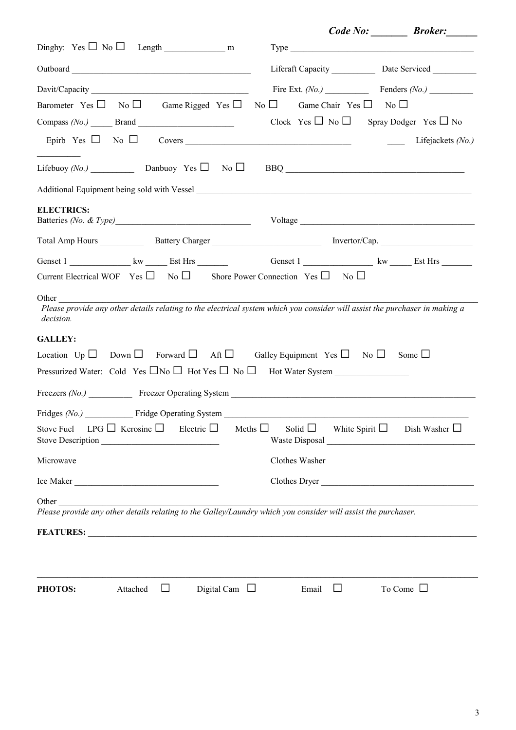|                                                                                                                                                                                                                                                                                                                                                                           |              |                 | Fire Ext. $(No.)$ Fenders $(No.)$                     |
|---------------------------------------------------------------------------------------------------------------------------------------------------------------------------------------------------------------------------------------------------------------------------------------------------------------------------------------------------------------------------|--------------|-----------------|-------------------------------------------------------|
| Barometer Yes $\Box$ No $\Box$ Game Rigged Yes $\Box$ No $\Box$ Game Chair Yes $\Box$ No $\Box$                                                                                                                                                                                                                                                                           |              |                 |                                                       |
| Compass $(No.)$ Brand $\overline{\qquad \qquad }$                                                                                                                                                                                                                                                                                                                         |              |                 | Clock Yes $\Box$ No $\Box$ Spray Dodger Yes $\Box$ No |
|                                                                                                                                                                                                                                                                                                                                                                           |              |                 |                                                       |
| Lifebuoy (No.) Danbuoy Yes $\Box$ No $\Box$ BBQ                                                                                                                                                                                                                                                                                                                           |              |                 |                                                       |
|                                                                                                                                                                                                                                                                                                                                                                           |              |                 |                                                       |
| <b>ELECTRICS:</b>                                                                                                                                                                                                                                                                                                                                                         |              |                 |                                                       |
|                                                                                                                                                                                                                                                                                                                                                                           |              |                 |                                                       |
| Genset 1 _______________ kw _______ Est Hrs _________________________Genset 1 _______________________ kw ______ Est Hrs _______________                                                                                                                                                                                                                                   |              |                 |                                                       |
| Current Electrical WOF Yes $\square$ No $\square$ Shore Power Connection Yes $\square$ No $\square$                                                                                                                                                                                                                                                                       |              |                 |                                                       |
| Other and the contract of the contract of the contract of the contract of the contract of the contract of the contract of the contract of the contract of the contract of the contract of the contract of the contract of the<br>Please provide any other details relating to the electrical system which you consider will assist the purchaser in making a<br>decision. |              |                 |                                                       |
| <b>GALLEY:</b>                                                                                                                                                                                                                                                                                                                                                            |              |                 |                                                       |
| Location $Up \Box$ Down $\Box$ Forward $\Box$ Aft $\Box$ Galley Equipment Yes $\Box$ No $\Box$ Some $\Box$                                                                                                                                                                                                                                                                |              |                 |                                                       |
|                                                                                                                                                                                                                                                                                                                                                                           |              |                 |                                                       |
|                                                                                                                                                                                                                                                                                                                                                                           |              |                 |                                                       |
| Fridge Operating System<br>Fridges $(No)$                                                                                                                                                                                                                                                                                                                                 |              |                 |                                                       |
| $LPG \Box$ Kerosine $\Box$ Electric $\Box$<br>Stove Fuel<br>Stove Description                                                                                                                                                                                                                                                                                             | Meths $\Box$ |                 | Solid $\Box$ White Spirit $\Box$ Dish Washer $\Box$   |
|                                                                                                                                                                                                                                                                                                                                                                           |              |                 | Clothes Washer                                        |
| Ice Maker                                                                                                                                                                                                                                                                                                                                                                 |              |                 | Clothes Dryer                                         |
| Other<br>Please provide any other details relating to the Galley/Laundry which you consider will assist the purchaser.                                                                                                                                                                                                                                                    |              |                 |                                                       |
| FEATURES: New York Contract the Contract of the Contract of the Contract of the Contract of the Contract of the Contract of the Contract of the Contract of the Contract of the Contract of the Contract of the Contract of th                                                                                                                                            |              |                 |                                                       |
|                                                                                                                                                                                                                                                                                                                                                                           |              |                 |                                                       |
|                                                                                                                                                                                                                                                                                                                                                                           |              |                 |                                                       |
| Attached<br>Digital Cam $\Box$<br>PHOTOS:<br>⊔                                                                                                                                                                                                                                                                                                                            |              | Email<br>$\Box$ | To Come $\Box$                                        |